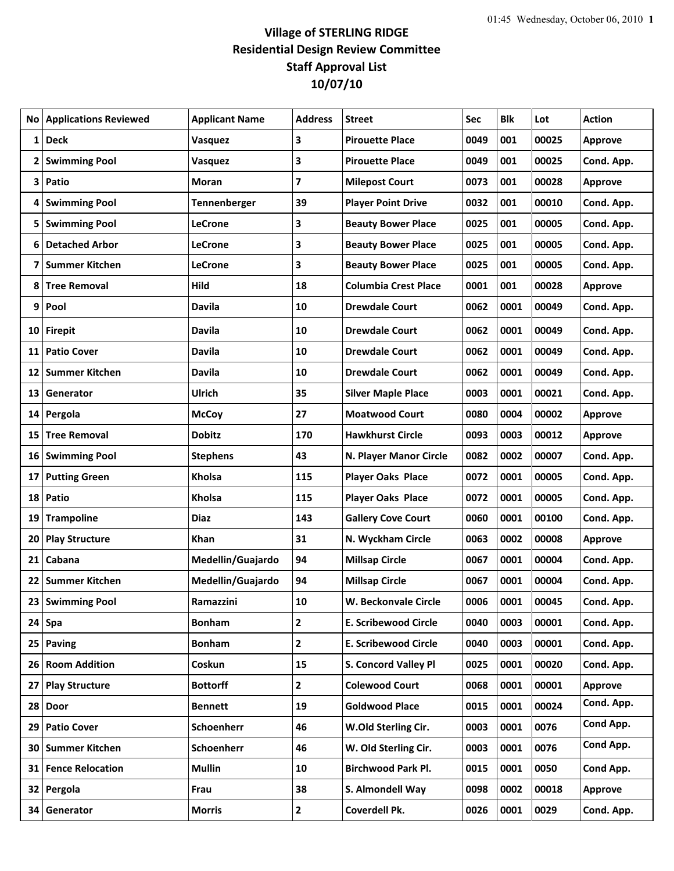## **Village of STERLING RIDGE Residential Design Review Committee Staff Approval List 10/07/10**

|    | <b>No Applications Reviewed</b> | <b>Applicant Name</b> | <b>Address</b> | <b>Street</b>               | Sec  | <b>Blk</b> | Lot   | <b>Action</b>  |
|----|---------------------------------|-----------------------|----------------|-----------------------------|------|------------|-------|----------------|
| 1  | <b>Deck</b>                     | Vasquez               | 3              | <b>Pirouette Place</b>      | 0049 | 001        | 00025 | <b>Approve</b> |
|    | 2 Swimming Pool                 | Vasquez               | 3              | <b>Pirouette Place</b>      | 0049 | 001        | 00025 | Cond. App.     |
| 3  | Patio                           | Moran                 | 7              | <b>Milepost Court</b>       | 0073 | 001        | 00028 | <b>Approve</b> |
| 4  | <b>Swimming Pool</b>            | Tennenberger          | 39             | <b>Player Point Drive</b>   | 0032 | 001        | 00010 | Cond. App.     |
|    | 5 Swimming Pool                 | <b>LeCrone</b>        | 3              | <b>Beauty Bower Place</b>   | 0025 | 001        | 00005 | Cond. App.     |
|    | 6 Detached Arbor                | <b>LeCrone</b>        | 3              | <b>Beauty Bower Place</b>   | 0025 | 001        | 00005 | Cond. App.     |
| 7  | <b>Summer Kitchen</b>           | <b>LeCrone</b>        | 3              | <b>Beauty Bower Place</b>   | 0025 | 001        | 00005 | Cond. App.     |
| 8  | <b>Tree Removal</b>             | Hild                  | 18             | <b>Columbia Crest Place</b> | 0001 | 001        | 00028 | <b>Approve</b> |
|    | 9 Pool                          | <b>Davila</b>         | 10             | <b>Drewdale Court</b>       | 0062 | 0001       | 00049 | Cond. App.     |
|    | 10 Firepit                      | <b>Davila</b>         | 10             | <b>Drewdale Court</b>       | 0062 | 0001       | 00049 | Cond. App.     |
| 11 | <b>Patio Cover</b>              | <b>Davila</b>         | 10             | <b>Drewdale Court</b>       | 0062 | 0001       | 00049 | Cond. App.     |
| 12 | Summer Kitchen                  | <b>Davila</b>         | 10             | <b>Drewdale Court</b>       | 0062 | 0001       | 00049 | Cond. App.     |
| 13 | Generator                       | Ulrich                | 35             | <b>Silver Maple Place</b>   | 0003 | 0001       | 00021 | Cond. App.     |
| 14 | Pergola                         | <b>McCoy</b>          | 27             | <b>Moatwood Court</b>       | 0080 | 0004       | 00002 | <b>Approve</b> |
| 15 | <b>Tree Removal</b>             | <b>Dobitz</b>         | 170            | <b>Hawkhurst Circle</b>     | 0093 | 0003       | 00012 | Approve        |
|    | 16 Swimming Pool                | <b>Stephens</b>       | 43             | N. Player Manor Circle      | 0082 | 0002       | 00007 | Cond. App.     |
| 17 | <b>Putting Green</b>            | <b>Kholsa</b>         | 115            | <b>Player Oaks Place</b>    | 0072 | 0001       | 00005 | Cond. App.     |
|    | 18 Patio                        | Kholsa                | 115            | <b>Player Oaks Place</b>    | 0072 | 0001       | 00005 | Cond. App.     |
| 19 | <b>Trampoline</b>               | <b>Diaz</b>           | 143            | <b>Gallery Cove Court</b>   | 0060 | 0001       | 00100 | Cond. App.     |
| 20 | <b>Play Structure</b>           | Khan                  | 31             | N. Wyckham Circle           | 0063 | 0002       | 00008 | <b>Approve</b> |
| 21 | Cabana                          | Medellin/Guajardo     | 94             | <b>Millsap Circle</b>       | 0067 | 0001       | 00004 | Cond. App.     |
|    | 22 Summer Kitchen               | Medellin/Guajardo     | 94             | <b>Millsap Circle</b>       | 0067 | 0001       | 00004 | Cond. App.     |
|    | 23 Swimming Pool                | Ramazzini             | 10             | W. Beckonvale Circle        | 0006 | 0001       | 00045 | Cond. App.     |
|    | $24$ Spa                        | <b>Bonham</b>         | $\mathbf{2}$   | <b>E. Scribewood Circle</b> | 0040 | 0003       | 00001 | Cond. App.     |
|    | 25 Paving                       | <b>Bonham</b>         | $\mathbf{2}$   | <b>E. Scribewood Circle</b> | 0040 | 0003       | 00001 | Cond. App.     |
|    | 26 Room Addition                | Coskun                | 15             | S. Concord Valley Pl        | 0025 | 0001       | 00020 | Cond. App.     |
| 27 | <b>Play Structure</b>           | <b>Bottorff</b>       | $\mathbf{2}$   | <b>Colewood Court</b>       | 0068 | 0001       | 00001 | Approve        |
|    | 28 Door                         | <b>Bennett</b>        | 19             | <b>Goldwood Place</b>       | 0015 | 0001       | 00024 | Cond. App.     |
|    | 29 Patio Cover                  | Schoenherr            | 46             | W.Old Sterling Cir.         | 0003 | 0001       | 0076  | Cond App.      |
|    | 30 Summer Kitchen               | Schoenherr            | 46             | W. Old Sterling Cir.        | 0003 | 0001       | 0076  | Cond App.      |
|    | 31 Fence Relocation             | <b>Mullin</b>         | 10             | <b>Birchwood Park Pl.</b>   | 0015 | 0001       | 0050  | Cond App.      |
|    | 32 Pergola                      | Frau                  | 38             | S. Almondell Way            | 0098 | 0002       | 00018 | Approve        |
|    | 34 Generator                    | <b>Morris</b>         | 2              | Coverdell Pk.               | 0026 | 0001       | 0029  | Cond. App.     |